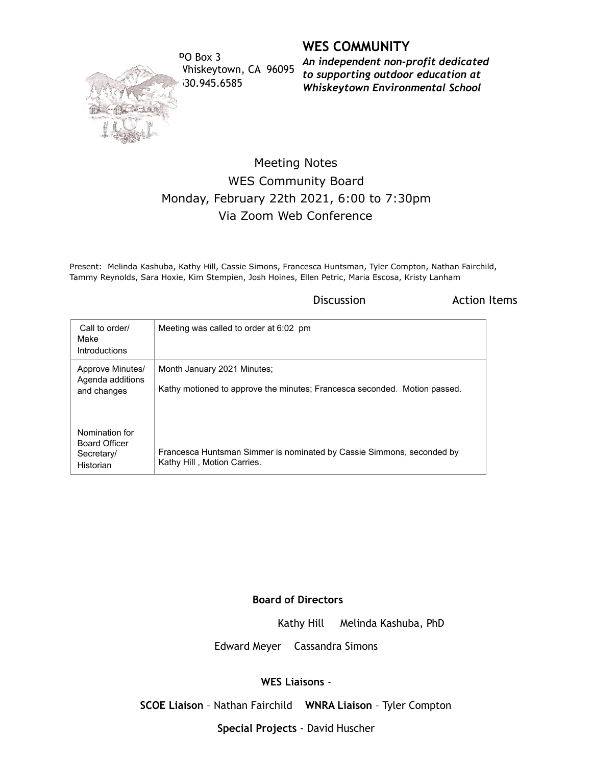

PO Box 3 Whiskeytown, CA 96095 530.945.6585

**WES COMMUNITY**

*An independent non-profit dedicated to supporting outdoor education at Whiskeytown Environmental School*

## Meeting Notes WES Community Board Monday, February 22th 2021, 6:00 to 7:30pm Via Zoom Web Conference

Present: Melinda Kashuba, Kathy Hill, Cassie Simons, Francesca Huntsman, Tyler Compton, Nathan Fairchild, Tammy Reynolds, Sara Hoxie, Kim Stempien, Josh Hoines, Ellen Petric, Maria Escosa, Kristy Lanham

Discussion **Action** Items

| Call to order/<br>Make<br>Introductions                           | Meeting was called to order at 6:02 pm                                                                   |
|-------------------------------------------------------------------|----------------------------------------------------------------------------------------------------------|
| Approve Minutes/<br>Agenda additions<br>and changes               | Month January 2021 Minutes;<br>Kathy motioned to approve the minutes; Francesca seconded. Motion passed. |
| Nomination for<br><b>Board Officer</b><br>Secretary/<br>Historian | Francesca Huntsman Simmer is nominated by Cassie Simmons, seconded by<br>Kathy Hill, Motion Carries.     |

## **Board of Directors**

Kathy Hill Melinda Kashuba, PhD

Edward Meyer Cassandra Simons

## **WES Liaisons** -

**SCOE Liaison** – Nathan Fairchild **WNRA Liaison** – Tyler Compton

**Special Projects** - David Huscher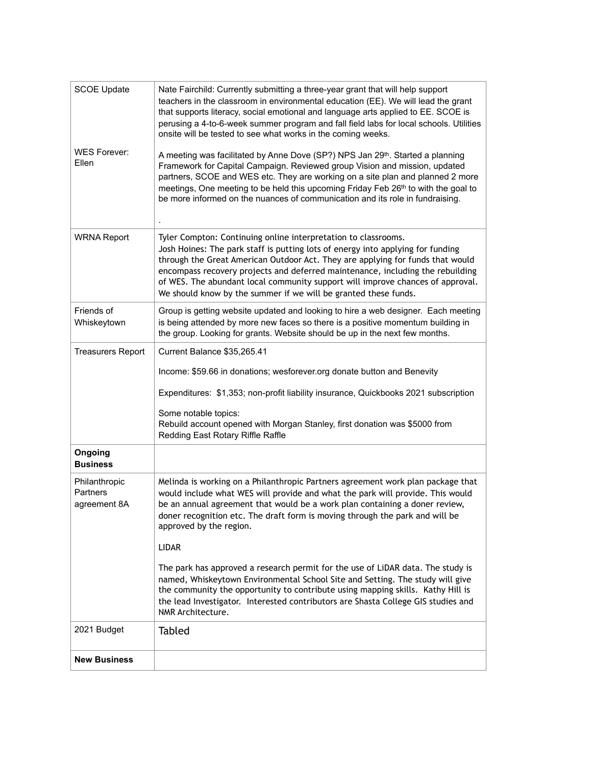| <b>SCOE Update</b>                        | Nate Fairchild: Currently submitting a three-year grant that will help support<br>teachers in the classroom in environmental education (EE). We will lead the grant<br>that supports literacy, social emotional and language arts applied to EE. SCOE is<br>perusing a 4-to-6-week summer program and fall field labs for local schools. Utilities<br>onsite will be tested to see what works in the coming weeks.                                                         |
|-------------------------------------------|----------------------------------------------------------------------------------------------------------------------------------------------------------------------------------------------------------------------------------------------------------------------------------------------------------------------------------------------------------------------------------------------------------------------------------------------------------------------------|
| <b>WES Forever:</b><br>Ellen              | A meeting was facilitated by Anne Dove (SP?) NPS Jan 29th. Started a planning<br>Framework for Capital Campaign. Reviewed group Vision and mission, updated<br>partners, SCOE and WES etc. They are working on a site plan and planned 2 more<br>meetings, One meeting to be held this upcoming Friday Feb 26th to with the goal to<br>be more informed on the nuances of communication and its role in fundraising.                                                       |
| <b>WRNA Report</b>                        | Tyler Compton: Continuing online interpretation to classrooms.<br>Josh Hoines: The park staff is putting lots of energy into applying for funding<br>through the Great American Outdoor Act. They are applying for funds that would<br>encompass recovery projects and deferred maintenance, including the rebuilding<br>of WES. The abundant local community support will improve chances of approval.<br>We should know by the summer if we will be granted these funds. |
| Friends of<br>Whiskeytown                 | Group is getting website updated and looking to hire a web designer. Each meeting<br>is being attended by more new faces so there is a positive momentum building in<br>the group. Looking for grants. Website should be up in the next few months.                                                                                                                                                                                                                        |
| <b>Treasurers Report</b>                  | Current Balance \$35,265.41                                                                                                                                                                                                                                                                                                                                                                                                                                                |
|                                           | Income: \$59.66 in donations; wesforever.org donate button and Benevity                                                                                                                                                                                                                                                                                                                                                                                                    |
|                                           | Expenditures: \$1,353; non-profit liability insurance, Quickbooks 2021 subscription                                                                                                                                                                                                                                                                                                                                                                                        |
|                                           | Some notable topics:<br>Rebuild account opened with Morgan Stanley, first donation was \$5000 from<br>Redding East Rotary Riffle Raffle                                                                                                                                                                                                                                                                                                                                    |
| Ongoing<br><b>Business</b>                |                                                                                                                                                                                                                                                                                                                                                                                                                                                                            |
| Philanthropic<br>Partners<br>agreement 8A | Melinda is working on a Philanthropic Partners agreement work plan package that<br>would include what WES will provide and what the park will provide. This would<br>be an annual agreement that would be a work plan containing a doner review,<br>doner recognition etc. The draft form is moving through the park and will be<br>approved by the region.                                                                                                                |
|                                           | <b>LIDAR</b>                                                                                                                                                                                                                                                                                                                                                                                                                                                               |
|                                           | The park has approved a research permit for the use of LiDAR data. The study is<br>named, Whiskeytown Environmental School Site and Setting. The study will give<br>the community the opportunity to contribute using mapping skills. Kathy Hill is<br>the lead Investigator. Interested contributors are Shasta College GIS studies and<br>NMR Architecture.                                                                                                              |
| 2021 Budget                               | <b>Tabled</b>                                                                                                                                                                                                                                                                                                                                                                                                                                                              |
| <b>New Business</b>                       |                                                                                                                                                                                                                                                                                                                                                                                                                                                                            |